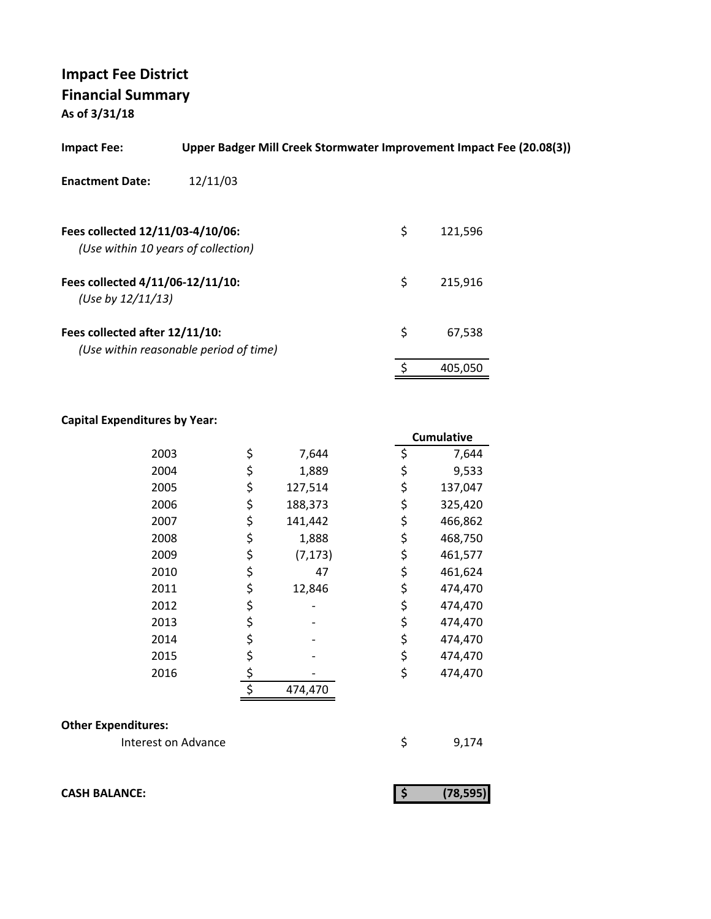# **Impact Fee District Financial Summary**

**As of 3/31/18**

| <b>Impact Fee:</b>                                                      | Upper Badger Mill Creek Stormwater Improvement Impact Fee (20.08(3)) |               |
|-------------------------------------------------------------------------|----------------------------------------------------------------------|---------------|
| <b>Enactment Date:</b>                                                  | 12/11/03                                                             |               |
| Fees collected 12/11/03-4/10/06:<br>(Use within 10 years of collection) |                                                                      | \$<br>121,596 |
| Fees collected 4/11/06-12/11/10:<br>(Use by $12/11/13$ )                |                                                                      | \$<br>215.916 |
| Fees collected after 12/11/10:                                          | (Use within reasonable period of time)                               | \$<br>67,538  |
|                                                                         |                                                                      | 405,050       |

#### **Capital Expenditures by Year:**

|      |                | <b>Cumulative</b> |
|------|----------------|-------------------|
| 2003 | \$<br>7,644    | \$<br>7,644       |
| 2004 | \$<br>1,889    | \$<br>9,533       |
| 2005 | \$<br>127,514  | \$<br>137,047     |
| 2006 | \$<br>188,373  | \$<br>325,420     |
| 2007 | \$<br>141,442  | \$<br>466,862     |
| 2008 | \$<br>1,888    | \$<br>468,750     |
| 2009 | \$<br>(7, 173) | \$<br>461,577     |
| 2010 | \$<br>47       | \$<br>461,624     |
| 2011 | \$<br>12,846   | \$<br>474,470     |
| 2012 | \$             | \$<br>474,470     |
| 2013 | \$             | \$<br>474,470     |
| 2014 | \$             | \$<br>474,470     |
| 2015 | \$             | \$<br>474,470     |
| 2016 | \$             | \$<br>474,470     |
|      | \$<br>474,470  |                   |

#### **Other Expenditures:**

Interest on Advance \$ 9,174

**CASH BALANCE:** (78,595)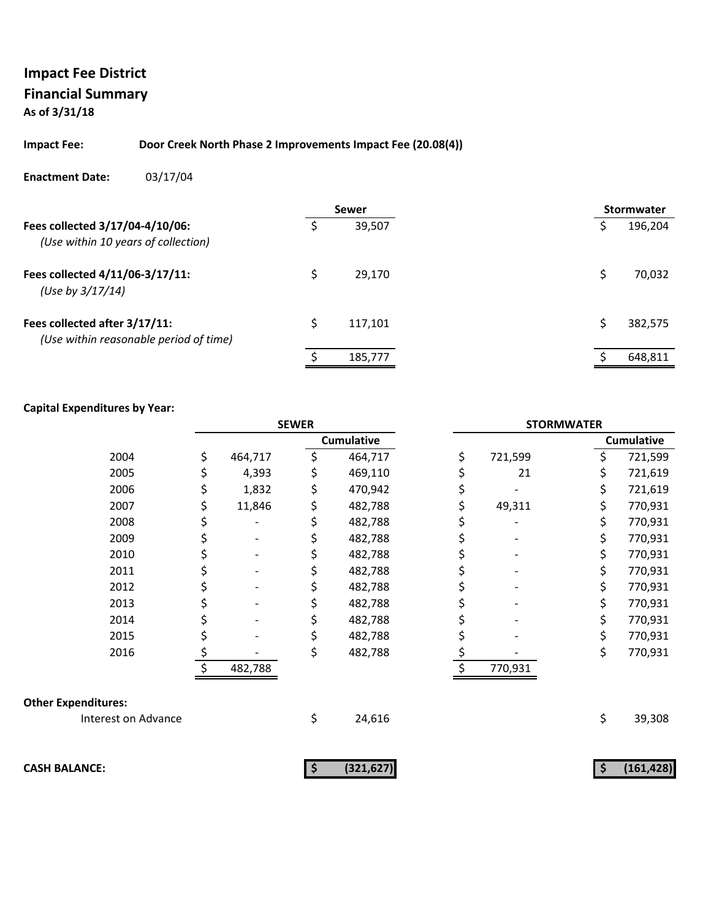#### **Impact Fee: Door Creek North Phase 2 Improvements Impact Fee (20.08(4))**

#### **Enactment Date:** 03/17/04

|                                                                         |   | Sewer   |  |   | <b>Stormwater</b> |
|-------------------------------------------------------------------------|---|---------|--|---|-------------------|
| Fees collected 3/17/04-4/10/06:<br>(Use within 10 years of collection)  |   | 39,507  |  |   | 196,204           |
| Fees collected 4/11/06-3/17/11:<br>(Use by 3/17/14)                     |   | 29,170  |  |   | 70,032            |
| Fees collected after 3/17/11:<br>(Use within reasonable period of time) | Ś | 117.101 |  | S | 382,575           |
|                                                                         |   | 185,777 |  |   | 648,811           |

#### **Capital Expenditures by Year:**

|                            | <b>SEWER</b> |         |    | <b>STORMWATER</b> |    |         |    |                   |
|----------------------------|--------------|---------|----|-------------------|----|---------|----|-------------------|
|                            |              |         |    | <b>Cumulative</b> |    |         |    | <b>Cumulative</b> |
| 2004                       | \$           | 464,717 | \$ | 464,717           | \$ | 721,599 | \$ | 721,599           |
| 2005                       | \$           | 4,393   |    | 469,110           | \$ | 21      | \$ | 721,619           |
| 2006                       | \$           | 1,832   |    | 470,942           | \$ |         | \$ | 721,619           |
| 2007                       | \$           | 11,846  |    | 482,788           | \$ | 49,311  | \$ | 770,931           |
| 2008                       | \$           |         |    | 482,788           |    |         | \$ | 770,931           |
| 2009                       | \$           |         |    | 482,788           | \$ |         | \$ | 770,931           |
| 2010                       | \$           |         |    | 482,788           | \$ |         | \$ | 770,931           |
| 2011                       | \$           |         |    | 482,788           |    |         | \$ | 770,931           |
| 2012                       | \$           |         |    | 482,788           | \$ |         | \$ | 770,931           |
| 2013                       | \$           |         |    | 482,788           | \$ |         | \$ | 770,931           |
| 2014                       |              |         |    | 482,788           |    |         | \$ | 770,931           |
| 2015                       | \$           |         |    | 482,788           | \$ |         | \$ | 770,931           |
| 2016                       | \$           |         |    | 482,788           | \$ |         | \$ | 770,931           |
|                            |              | 482,788 |    |                   |    | 770,931 |    |                   |
| <b>Other Expenditures:</b> |              |         |    |                   |    |         |    |                   |
| Interest on Advance        |              |         | \$ | 24,616            |    |         | \$ | 39,308            |
| <b>CASH BALANCE:</b>       |              |         | Ş  | (321, 627)        |    |         | \$ | (161, 428)        |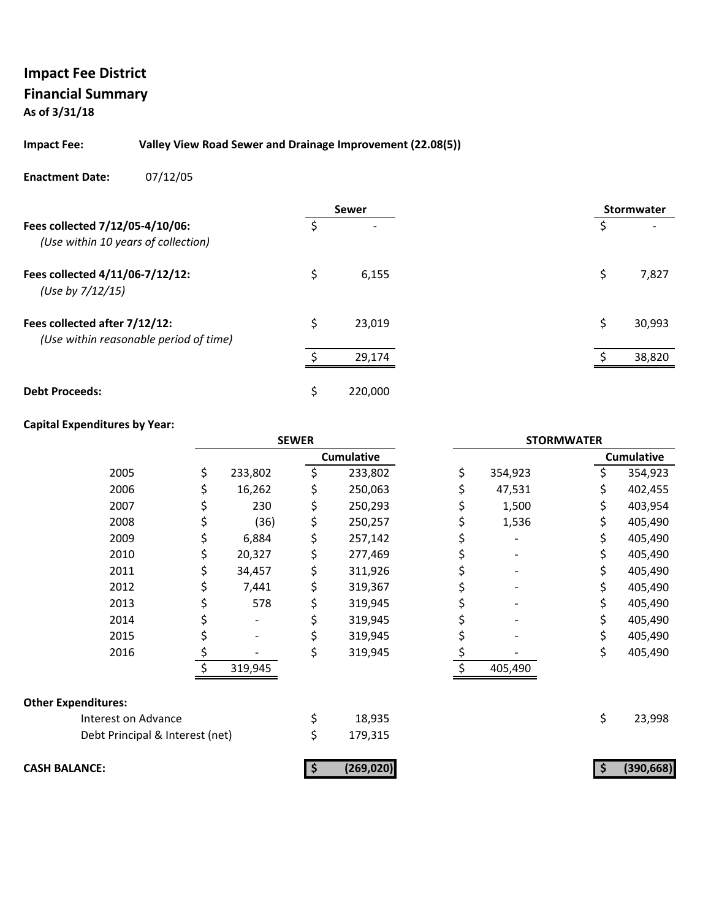#### **Impact Fee: Valley View Road Sewer and Drainage Improvement (22.08(5))**

#### **Enactment Date:** 07/12/05

|                                                                         |    | <b>Sewer</b> |    | <b>Stormwater</b> |
|-------------------------------------------------------------------------|----|--------------|----|-------------------|
| Fees collected 7/12/05-4/10/06:<br>(Use within 10 years of collection)  |    |              |    |                   |
| Fees collected 4/11/06-7/12/12:<br>(Use by 7/12/15)                     | \$ | 6,155        | \$ | 7,827             |
| Fees collected after 7/12/12:<br>(Use within reasonable period of time) | \$ | 23,019       | \$ | 30,993            |
|                                                                         |    | 29,174       |    | 38,820            |
| <b>Debt Proceeds:</b>                                                   | Ś  | 220,000      |    |                   |

### **Capital Expenditures by Year:**

|                                 | <b>SEWER</b> |         |    | <b>STORMWATER</b> |    |         |    |                   |
|---------------------------------|--------------|---------|----|-------------------|----|---------|----|-------------------|
|                                 |              |         |    | <b>Cumulative</b> |    |         |    | <b>Cumulative</b> |
| 2005                            | \$           | 233,802 | \$ | 233,802           | \$ | 354,923 | \$ | 354,923           |
| 2006                            |              | 16,262  |    | 250,063           |    | 47,531  | \$ | 402,455           |
| 2007                            |              | 230     |    | 250,293           |    | 1,500   | \$ | 403,954           |
| 2008                            |              | (36)    |    | 250,257           |    | 1,536   | \$ | 405,490           |
| 2009                            |              | 6,884   |    | 257,142           |    |         | \$ | 405,490           |
| 2010                            |              | 20,327  |    | 277,469           |    |         | \$ | 405,490           |
| 2011                            |              | 34,457  |    | 311,926           |    |         | \$ | 405,490           |
| 2012                            |              | 7,441   |    | 319,367           |    |         | \$ | 405,490           |
| 2013                            |              | 578     |    | 319,945           | Ş  |         | \$ | 405,490           |
| 2014                            |              |         |    | 319,945           |    |         | \$ | 405,490           |
| 2015                            |              |         |    | 319,945           |    |         | \$ | 405,490           |
| 2016                            |              |         |    | 319,945           |    |         | \$ | 405,490           |
|                                 | \$           | 319,945 |    |                   |    | 405,490 |    |                   |
| <b>Other Expenditures:</b>      |              |         |    |                   |    |         |    |                   |
| Interest on Advance             |              |         | \$ | 18,935            |    |         | \$ | 23,998            |
| Debt Principal & Interest (net) |              |         | \$ | 179,315           |    |         |    |                   |
| <b>CASH BALANCE:</b>            |              |         | Ş  | (269, 020)        |    |         |    | (390, 668)        |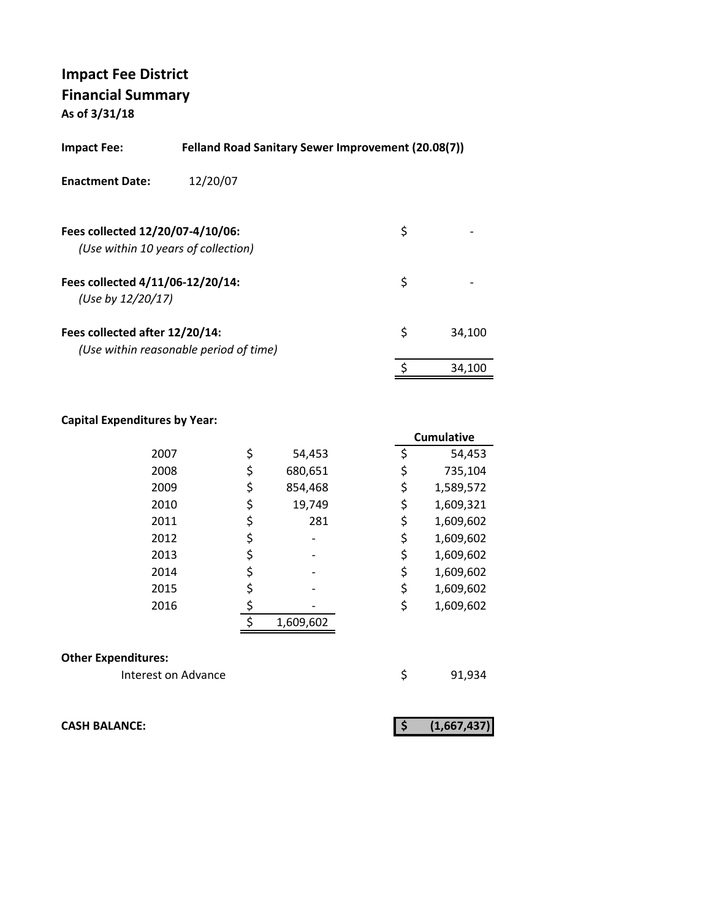| Impact Fee:                                           | Felland Road Sanitary Sewer Improvement (20.08(7)) |    |        |
|-------------------------------------------------------|----------------------------------------------------|----|--------|
| <b>Enactment Date:</b>                                | 12/20/07                                           |    |        |
| Fees collected 12/20/07-4/10/06:                      | (Use within 10 years of collection)                | \$ |        |
| Fees collected 4/11/06-12/20/14:<br>(Use by 12/20/17) |                                                    | \$ |        |
| Fees collected after 12/20/14:                        | (Use within reasonable period of time)             | \$ | 34,100 |
|                                                       |                                                    |    | 34.100 |

#### **Capital Expenditures by Year:**

|      |               | <b>Cumulative</b> |
|------|---------------|-------------------|
| 2007 | \$<br>54,453  | \$<br>54,453      |
| 2008 | \$<br>680,651 | \$<br>735,104     |
| 2009 | \$<br>854,468 | \$<br>1,589,572   |
| 2010 | \$<br>19,749  | \$<br>1,609,321   |
| 2011 | \$<br>281     | \$<br>1,609,602   |
| 2012 |               | \$<br>1,609,602   |
| 2013 |               | \$<br>1,609,602   |
| 2014 |               | \$<br>1,609,602   |
| 2015 |               | \$<br>1,609,602   |
| 2016 |               | \$<br>1,609,602   |
|      | 1,609,602     |                   |

#### **Other Expenditures:**

Interest on Advance **1920** \$91,934

**CASH BALANCE: (1,667,437) \$**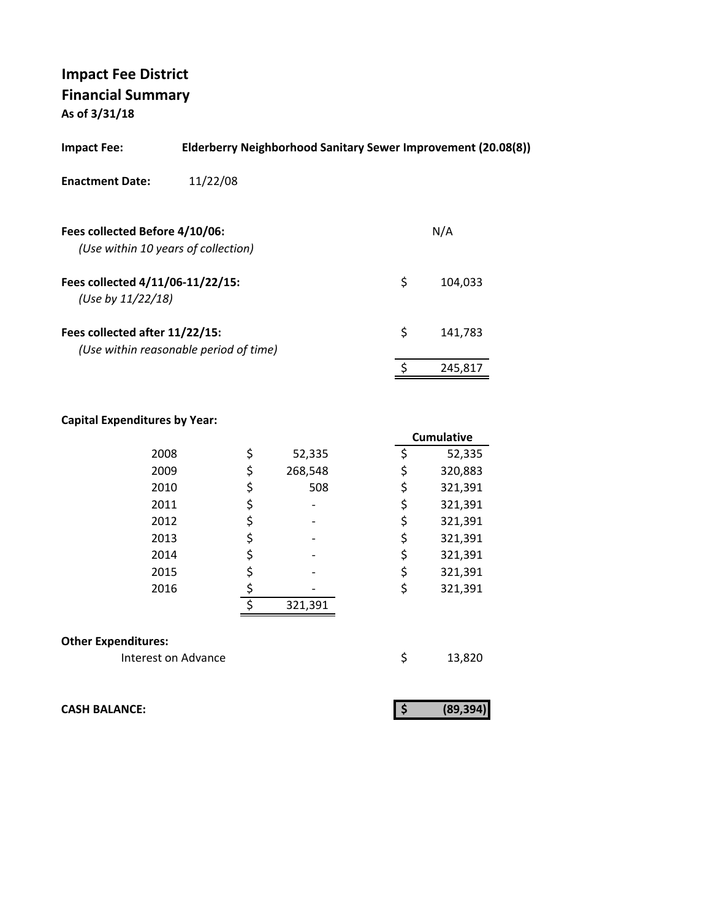| <b>Impact Fee:</b>                                                       | Elderberry Neighborhood Sanitary Sewer Improvement (20.08(8)) |  |
|--------------------------------------------------------------------------|---------------------------------------------------------------|--|
| 11/22/08<br><b>Enactment Date:</b>                                       |                                                               |  |
| Fees collected Before 4/10/06:<br>(Use within 10 years of collection)    | N/A                                                           |  |
| Fees collected 4/11/06-11/22/15:<br>(Use by $11/22/18$ )                 | \$<br>104,033                                                 |  |
| Fees collected after 11/22/15:<br>(Use within reasonable period of time) | \$<br>141,783                                                 |  |
|                                                                          | 245,817                                                       |  |

#### **Capital Expenditures by Year:**

|                            |    |         | <b>Cumulative</b> |
|----------------------------|----|---------|-------------------|
| 2008                       | \$ | 52,335  | \$<br>52,335      |
| 2009                       | \$ | 268,548 | \$<br>320,883     |
| 2010                       | \$ | 508     | \$<br>321,391     |
| 2011                       | \$ |         | \$<br>321,391     |
| 2012                       | \$ |         | \$<br>321,391     |
| 2013                       | \$ |         | \$<br>321,391     |
| 2014                       | \$ |         | \$<br>321,391     |
| 2015                       | \$ |         | \$<br>321,391     |
| 2016                       |    |         | \$<br>321,391     |
|                            | ς  | 321,391 |                   |
| <b>Other Expenditures:</b> |    |         |                   |
| Interest on Advance        |    |         | \$<br>13,820      |

**CASH BALANCE:** 

|--|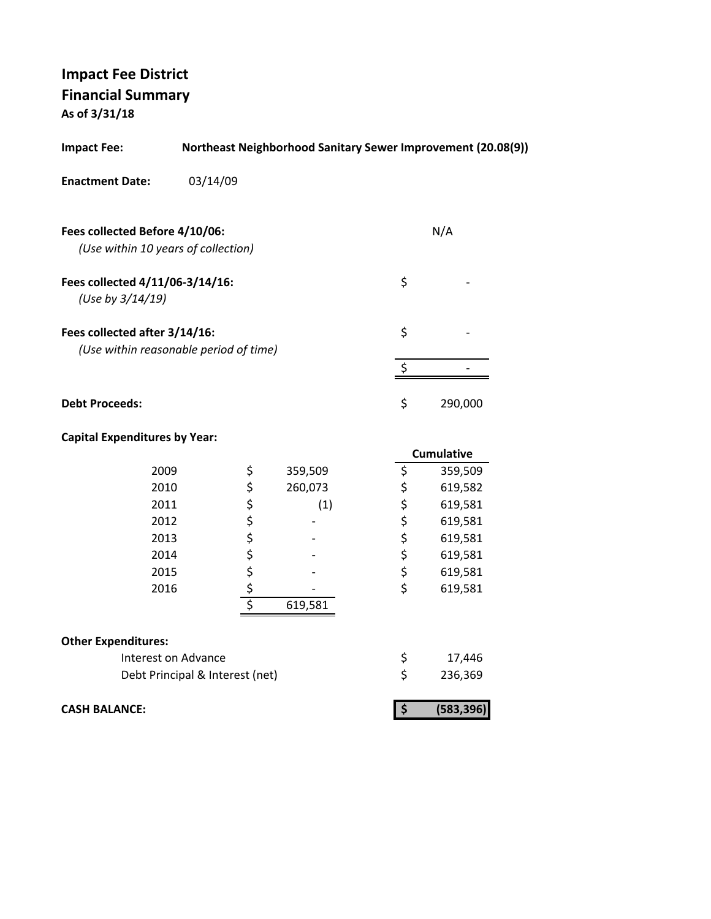| <b>Impact Fee:</b>                                                    |                                 |              |         |    | Northeast Neighborhood Sanitary Sewer Improvement (20.08(9)) |
|-----------------------------------------------------------------------|---------------------------------|--------------|---------|----|--------------------------------------------------------------|
| <b>Enactment Date:</b>                                                | 03/14/09                        |              |         |    |                                                              |
| Fees collected Before 4/10/06:<br>(Use within 10 years of collection) |                                 |              |         |    | N/A                                                          |
| Fees collected 4/11/06-3/14/16:<br>(Use by 3/14/19)                   |                                 |              |         | \$ |                                                              |
| Fees collected after 3/14/16:                                         |                                 |              |         | \$ |                                                              |
| (Use within reasonable period of time)                                |                                 |              |         |    |                                                              |
|                                                                       |                                 |              |         | \$ |                                                              |
| <b>Debt Proceeds:</b>                                                 |                                 |              |         | \$ | 290,000                                                      |
| <b>Capital Expenditures by Year:</b>                                  |                                 |              |         |    |                                                              |
|                                                                       |                                 |              |         |    | Cumulative                                                   |
| 2009                                                                  |                                 | \$           | 359,509 | \$ | 359,509                                                      |
| 2010                                                                  |                                 | \$           | 260,073 | \$ | 619,582                                                      |
| 2011                                                                  |                                 |              | (1)     | \$ | 619,581                                                      |
| 2012                                                                  |                                 | \$\$\$\$\$\$ |         | \$ | 619,581                                                      |
| 2013                                                                  |                                 |              |         | \$ | 619,581                                                      |
| 2014                                                                  |                                 |              |         | \$ | 619,581                                                      |
| 2015                                                                  |                                 |              |         | \$ | 619,581                                                      |
| 2016                                                                  |                                 |              |         | \$ | 619,581                                                      |
|                                                                       |                                 |              | 619,581 |    |                                                              |
| <b>Other Expenditures:</b>                                            |                                 |              |         |    |                                                              |
| Interest on Advance                                                   |                                 |              |         | \$ | 17,446                                                       |
|                                                                       |                                 |              |         |    |                                                              |
|                                                                       | Debt Principal & Interest (net) |              |         | \$ | 236,369                                                      |

**CASH BALANCE: (583,396) \$**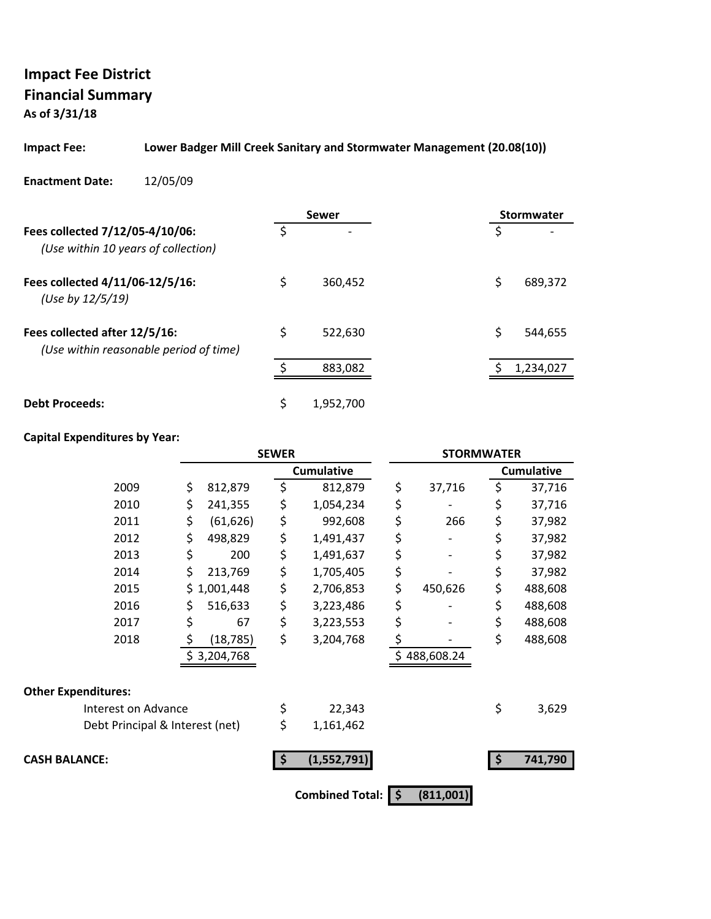# **Impact Fee District Financial Summary**

**As of 3/31/18**

#### **Impact Fee: Lower Badger Mill Creek Sanitary and Stormwater Management (20.08(10))**

**Enactment Date:** 12/05/09

|                                                                         |    | Sewer     | <b>Stormwater</b> |
|-------------------------------------------------------------------------|----|-----------|-------------------|
| Fees collected 7/12/05-4/10/06:<br>(Use within 10 years of collection)  | Ś  | -         | \$                |
| Fees collected 4/11/06-12/5/16:<br>(Use by 12/5/19)                     | \$ | 360.452   | \$<br>689,372     |
| Fees collected after 12/5/16:<br>(Use within reasonable period of time) | \$ | 522.630   | \$<br>544,655     |
|                                                                         |    | 883,082   | 1,234,027         |
| <b>Debt Proceeds:</b>                                                   | \$ | 1.952.700 |                   |

### **Capital Expenditures by Year:**

|                                 | <b>SEWER</b>    |    | <b>STORMWATER</b>      |                 |    |                   |
|---------------------------------|-----------------|----|------------------------|-----------------|----|-------------------|
|                                 |                 |    | <b>Cumulative</b>      |                 |    | <b>Cumulative</b> |
| 2009                            | \$<br>812,879   | \$ | 812,879                | \$<br>37,716    | \$ | 37,716            |
| 2010                            | \$<br>241,355   | \$ | 1,054,234              | \$              | \$ | 37,716            |
| 2011                            | \$<br>(61, 626) | \$ | 992,608                | \$<br>266       | \$ | 37,982            |
| 2012                            | \$<br>498,829   | \$ | 1,491,437              | \$              | \$ | 37,982            |
| 2013                            | \$<br>200       | \$ | 1,491,637              | \$              | \$ | 37,982            |
| 2014                            | \$<br>213,769   | \$ | 1,705,405              | \$              | \$ | 37,982            |
| 2015                            | \$1,001,448     | \$ | 2,706,853              | \$<br>450,626   | \$ | 488,608           |
| 2016                            | \$<br>516,633   | \$ | 3,223,486              | \$              | \$ | 488,608           |
| 2017                            | \$<br>67        | \$ | 3,223,553              | \$              | \$ | 488,608           |
| 2018                            | \$<br>(18, 785) | \$ | 3,204,768              | \$              | \$ | 488,608           |
|                                 | \$3,204,768     |    |                        | \$488,608.24    |    |                   |
| <b>Other Expenditures:</b>      |                 |    |                        |                 |    |                   |
| Interest on Advance             |                 | \$ | 22,343                 |                 | \$ | 3,629             |
| Debt Principal & Interest (net) |                 | \$ | 1,161,462              |                 |    |                   |
| <b>CASH BALANCE:</b>            |                 |    | (1,552,791)            |                 | Ś  | 741,790           |
|                                 |                 |    | <b>Combined Total:</b> | \$<br>(811,001) |    |                   |